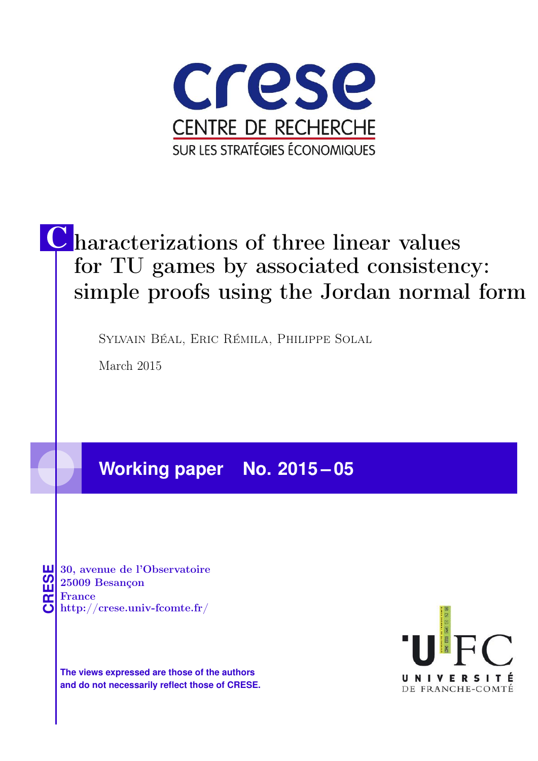

# C haracterizations of three linear values for TU games by associated consistency: simple proofs using the Jordan normal form

Sylvain Béal, Eric Rémila, Philippe Solal

March 2015

## **Working paper No. 2015 – 05**

**CRESE 30, avenue de l'Observatoire<br>
25009 Besançon<br>
France<br>
<b>CRESE de l'Observatoire**<br>
Http://crese.univ-fcomte.fr/ 25009 Besançon France

**The views expressed are those of the authors and do not necessarily reflect those of CRESE.**

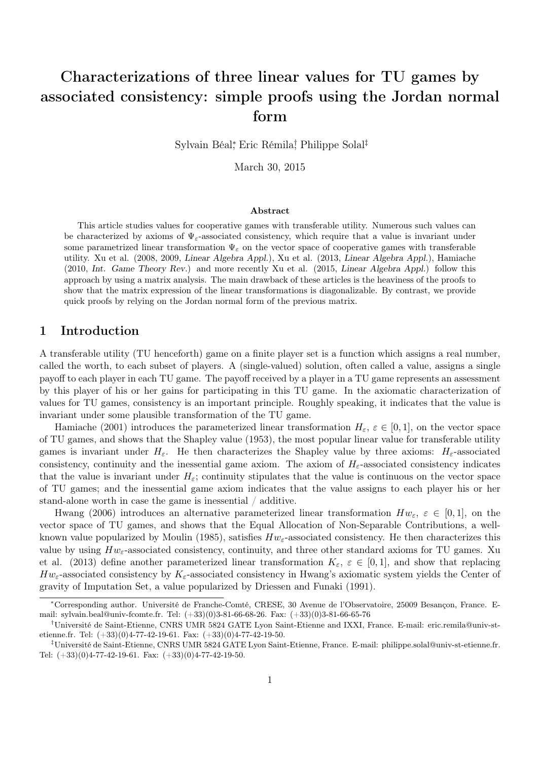### Characterizations of three linear values for TU games by associated consistency: simple proofs using the Jordan normal form

Sylvain Béal<sup>∗</sup> , Eric Rémila† , Philippe Solal‡

March 30, 2015

#### Abstract

This article studies values for cooperative games with transferable utility. Numerous such values can be characterized by axioms of  $\Psi_{\varepsilon}$ -associated consistency, which require that a value is invariant under some parametrized linear transformation  $\Psi_{\varepsilon}$  on the vector space of cooperative games with transferable utility. Xu et al. (2008, 2009, Linear Algebra Appl.), Xu et al. (2013, Linear Algebra Appl.), Hamiache (2010, Int. Game Theory Rev.) and more recently Xu et al. (2015, Linear Algebra Appl.) follow this approach by using a matrix analysis. The main drawback of these articles is the heaviness of the proofs to show that the matrix expression of the linear transformations is diagonalizable. By contrast, we provide quick proofs by relying on the Jordan normal form of the previous matrix.

#### 1 Introduction

A transferable utility (TU henceforth) game on a finite player set is a function which assigns a real number, called the worth, to each subset of players. A (single-valued) solution, often called a value, assigns a single payoff to each player in each TU game. The payoff received by a player in a TU game represents an assessment by this player of his or her gains for participating in this TU game. In the axiomatic characterization of values for TU games, consistency is an important principle. Roughly speaking, it indicates that the value is invariant under some plausible transformation of the TU game.

Hamiache (2001) introduces the parameterized linear transformation  $H_{\varepsilon}$ ,  $\varepsilon \in [0,1]$ , on the vector space of TU games, and shows that the Shapley value (1953), the most popular linear value for transferable utility games is invariant under  $H_{\varepsilon}$ . He then characterizes the Shapley value by three axioms:  $H_{\varepsilon}$ -associated consistency, continuity and the inessential game axiom. The axiom of  $H_{\varepsilon}$ -associated consistency indicates that the value is invariant under  $H_{\varepsilon}$ ; continuity stipulates that the value is continuous on the vector space of TU games; and the inessential game axiom indicates that the value assigns to each player his or her stand-alone worth in case the game is inessential / additive.

Hwang (2006) introduces an alternative parameterized linear transformation  $Hw_{\varepsilon, \varepsilon} \in [0,1]$ , on the vector space of TU games, and shows that the Equal Allocation of Non-Separable Contributions, a wellknown value popularized by Moulin (1985), satisfies  $Hw_{\varepsilon}$ -associated consistency. He then characterizes this value by using  $Hw_{\varepsilon}$ -associated consistency, continuity, and three other standard axioms for TU games. Xu et al. (2013) define another parameterized linear transformation  $K_{\varepsilon}$ ,  $\varepsilon \in [0,1]$ , and show that replacing  $Hw_{\varepsilon}$ -associated consistency by  $K_{\varepsilon}$ -associated consistency in Hwang's axiomatic system yields the Center of gravity of Imputation Set, a value popularized by Driessen and Funaki (1991).

<sup>∗</sup>Corresponding author. Université de Franche-Comté, CRESE, 30 Avenue de l'Observatoire, 25009 Besançon, France. Email: sylvain.beal@univ-fcomte.fr. Tel: (+33)(0)3-81-66-68-26. Fax: (+33)(0)3-81-66-65-76

<sup>†</sup>Université de Saint-Etienne, CNRS UMR 5824 GATE Lyon Saint-Etienne and IXXI, France. E-mail: eric.remila@univ-stetienne.fr. Tel:  $(+33)(0)4-77-42-19-61$ . Fax:  $(+33)(0)4-77-42-19-50$ .

<sup>‡</sup>Université de Saint-Etienne, CNRS UMR 5824 GATE Lyon Saint-Etienne, France. E-mail: philippe.solal@univ-st-etienne.fr. Tel:  $(+33)(0)4-77-42-19-61$ . Fax:  $(+33)(0)4-77-42-19-50$ .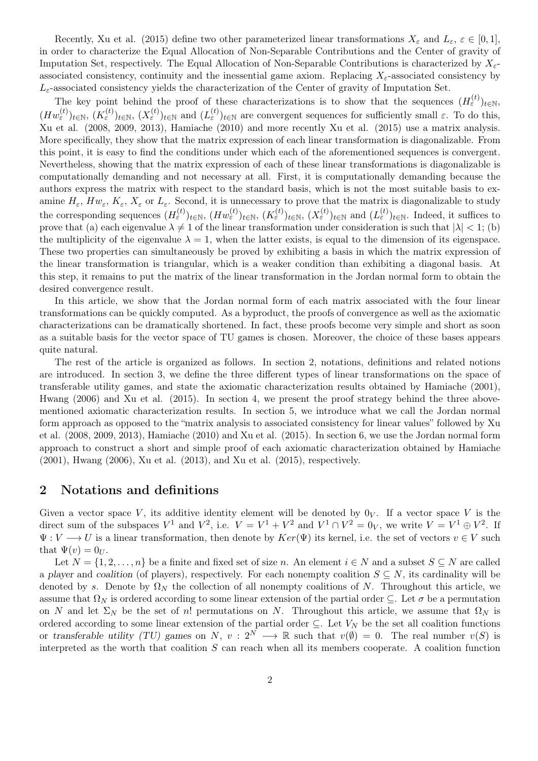Recently, Xu et al. (2015) define two other parameterized linear transformations  $X_{\varepsilon}$  and  $L_{\varepsilon}$ ,  $\varepsilon \in [0,1]$ , in order to characterize the Equal Allocation of Non-Separable Contributions and the Center of gravity of Imputation Set, respectively. The Equal Allocation of Non-Separable Contributions is characterized by  $X_{\varepsilon}$ associated consistency, continuity and the inessential game axiom. Replacing  $X_{\epsilon}$ -associated consistency by  $L_{\varepsilon}$ -associated consistency yields the characterization of the Center of gravity of Imputation Set.

The key point behind the proof of these characterizations is to show that the sequences  $(H_{\varepsilon}^{(t)})_{t\in\mathbb{N}},$  $(Hw_{\varepsilon}^{(t)})_{t\in\mathbb{N}},\ (K_{\varepsilon}^{(t)})_{t\in\mathbb{N}}\ (X_{\varepsilon}^{(t)})_{t\in\mathbb{N}}\text{ and } (L_{\varepsilon}^{(t)})_{t\in\mathbb{N}}\text{ are convergent sequences for sufficiently small }\varepsilon\text{. To do this,}$ Xu et al. (2008, 2009, 2013), Hamiache (2010) and more recently Xu et al. (2015) use a matrix analysis. More specifically, they show that the matrix expression of each linear transformation is diagonalizable. From this point, it is easy to find the conditions under which each of the aforementioned sequences is convergent. Nevertheless, showing that the matrix expression of each of these linear transformations is diagonalizable is computationally demanding and not necessary at all. First, it is computationally demanding because the authors express the matrix with respect to the standard basis, which is not the most suitable basis to examine  $H_{\varepsilon}$ ,  $Hw_{\varepsilon}$ ,  $K_{\varepsilon}$ ,  $X_{\varepsilon}$  or  $L_{\varepsilon}$ . Second, it is unnecessary to prove that the matrix is diagonalizable to study the corresponding sequences  $(H_{\varepsilon}^{(t)})_{t \in \mathbb{N}}, (H w_{\varepsilon}^{(t)})_{t \in \mathbb{N}}, (K_{\varepsilon}^{(t)})_{t \in \mathbb{N}}, (X_{\varepsilon}^{(t)})_{t \in \mathbb{N}}$  and  $(L_{\varepsilon}^{(t)})_{t \in \mathbb{N}}$ . Indeed, it suffices to prove that (a) each eigenvalue  $\lambda \neq 1$  of the linear transformation under consideration is such that  $|\lambda| < 1$ ; (b) the multiplicity of the eigenvalue  $\lambda = 1$ , when the latter exists, is equal to the dimension of its eigenspace. These two properties can simultaneously be proved by exhibiting a basis in which the matrix expression of the linear transformation is triangular, which is a weaker condition than exhibiting a diagonal basis. At this step, it remains to put the matrix of the linear transformation in the Jordan normal form to obtain the desired convergence result.

In this article, we show that the Jordan normal form of each matrix associated with the four linear transformations can be quickly computed. As a byproduct, the proofs of convergence as well as the axiomatic characterizations can be dramatically shortened. In fact, these proofs become very simple and short as soon as a suitable basis for the vector space of TU games is chosen. Moreover, the choice of these bases appears quite natural.

The rest of the article is organized as follows. In section 2, notations, definitions and related notions are introduced. In section 3, we define the three different types of linear transformations on the space of transferable utility games, and state the axiomatic characterization results obtained by Hamiache (2001), Hwang (2006) and Xu et al. (2015). In section 4, we present the proof strategy behind the three abovementioned axiomatic characterization results. In section 5, we introduce what we call the Jordan normal form approach as opposed to the "matrix analysis to associated consistency for linear values" followed by Xu et al. (2008, 2009, 2013), Hamiache (2010) and Xu et al. (2015). In section 6, we use the Jordan normal form approach to construct a short and simple proof of each axiomatic characterization obtained by Hamiache (2001), Hwang (2006), Xu et al. (2013), and Xu et al. (2015), respectively.

#### 2 Notations and definitions

Given a vector space V, its additive identity element will be denoted by  $0_V$ . If a vector space V is the direct sum of the subspaces  $V^1$  and  $V^2$ , i.e.  $V = V^1 + V^2$  and  $V^1 \cap V^2 = 0_V$ , we write  $V = V^1 \oplus V^2$ . If  $\Psi: V \longrightarrow U$  is a linear transformation, then denote by  $Ker(\Psi)$  its kernel, i.e. the set of vectors  $v \in V$  such that  $\Psi(v) = 0_{U}$ .

Let  $N = \{1, 2, \ldots, n\}$  be a finite and fixed set of size n. An element  $i \in N$  and a subset  $S \subseteq N$  are called a player and coalition (of players), respectively. For each nonempty coalition  $S \subseteq N$ , its cardinality will be denoted by s. Denote by  $\Omega_N$  the collection of all nonempty coalitions of N. Throughout this article, we assume that  $\Omega_N$  is ordered according to some linear extension of the partial order  $\subseteq$ . Let  $\sigma$  be a permutation on N and let  $\Sigma_N$  be the set of n! permutations on N. Throughout this article, we assume that  $\Omega_N$  is ordered according to some linear extension of the partial order  $\subseteq$ . Let  $V_N$  be the set all coalition functions or transferable utility (TU) games on N,  $v: 2^N \longrightarrow \mathbb{R}$  such that  $v(\emptyset) = 0$ . The real number  $v(S)$  is interpreted as the worth that coalition  $S$  can reach when all its members cooperate. A coalition function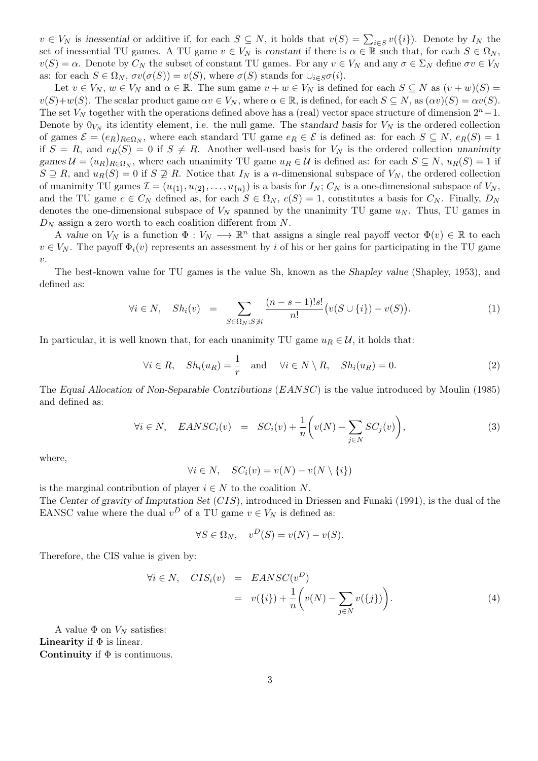$v \in V_N$  is inessential or additive if, for each  $S \subseteq N$ , it holds that  $v(S) = \sum_{i \in S} v({i})$ . Denote by  $I_N$  the set of inessential TU games. A TU game  $v \in V_N$  is constant if there is  $\alpha \in \mathbb{R}$  such that, for each  $S \in \Omega_N$ ,  $v(S) = \alpha$ . Denote by  $C_N$  the subset of constant TU games. For any  $v \in V_N$  and any  $\sigma \in \Sigma_N$  define  $\sigma v \in V_N$ as: for each  $S \in \Omega_N$ ,  $\sigma v(\sigma(S)) = v(S)$ , where  $\sigma(S)$  stands for  $\cup_{i \in S} \sigma(i)$ .

Let  $v \in V_N$ ,  $w \in V_N$  and  $\alpha \in \mathbb{R}$ . The sum game  $v + w \in V_N$  is defined for each  $S \subseteq N$  as  $(v + w)(S) =$  $v(S)+w(S)$ . The scalar product game  $\alpha v \in V_N$ , where  $\alpha \in \mathbb{R}$ , is defined, for each  $S \subseteq N$ , as  $(\alpha v)(S) = \alpha v(S)$ . The set  $V_N$  together with the operations defined above has a (real) vector space structure of dimension  $2^n - 1$ . Denote by  $0_{V_N}$  its identity element, i.e. the null game. The standard basis for  $V_N$  is the ordered collection of games  $\mathcal{E} = (e_R)_{R \in \Omega_N}$ , where each standard TU game  $e_R \in \mathcal{E}$  is defined as: for each  $S \subseteq N$ ,  $e_R(S) = 1$ if  $S = R$ , and  $e_R(S) = 0$  if  $S \neq R$ . Another well-used basis for  $V_N$  is the ordered collection unanimity games  $\mathcal{U} = (u_R)_{R \in \Omega_N}$ , where each unanimity TU game  $u_R \in \mathcal{U}$  is defined as: for each  $S \subseteq N$ ,  $u_R(S) = 1$  if  $S \supseteq R$ , and  $u_R(S) = 0$  if  $S \supsetneq R$ . Notice that  $I_N$  is a *n*-dimensional subspace of  $V_N$ , the ordered collection of unanimity TU games  $\mathcal{I} = (u_{\{1\}}, u_{\{2\}}, \dots, u_{\{n\}})$  is a basis for  $I_N$ ;  $C_N$  is a one-dimensional subspace of  $V_N$ , and the TU game  $c \in C_N$  defined as, for each  $S \in \Omega_N$ ,  $c(S) = 1$ , constitutes a basis for  $C_N$ . Finally,  $D_N$ denotes the one-dimensional subspace of  $V_N$  spanned by the unanimity TU game  $u_N$ . Thus, TU games in  $D_N$  assign a zero worth to each coalition different from N.

A value on  $V_N$  is a function  $\Phi: V_N \longrightarrow \mathbb{R}^n$  that assigns a single real payoff vector  $\Phi(v) \in \mathbb{R}$  to each  $v \in V_N$ . The payoff  $\Phi_i(v)$  represents an assessment by i of his or her gains for participating in the TU game  $\upsilon.$ 

The best-known value for TU games is the value Sh, known as the Shapley value (Shapley, 1953), and defined as:

$$
\forall i \in N, \quad Sh_i(v) = \sum_{S \in \Omega_N : S \neq i} \frac{(n-s-1)!s!}{n!} \big( v(S \cup \{i\}) - v(S) \big). \tag{1}
$$

In particular, it is well known that, for each unanimity TU game  $u_R \in \mathcal{U}$ , it holds that:

$$
\forall i \in R, \quad Sh_i(u_R) = \frac{1}{r} \quad \text{and} \quad \forall i \in N \setminus R, \quad Sh_i(u_R) = 0. \tag{2}
$$

The Equal Allocation of Non-Separable Contributions (EANSC) is the value introduced by Moulin (1985) and defined as:

$$
\forall i \in N, \quad EANSC_i(v) = SC_i(v) + \frac{1}{n} \left( v(N) - \sum_{j \in N} SC_j(v) \right), \tag{3}
$$

where,

$$
\forall i \in N, \quad SC_i(v) = v(N) - v(N \setminus \{i\})
$$

is the marginal contribution of player  $i \in N$  to the coalition N.

The Center of gravity of Imputation Set (CIS), introduced in Driessen and Funaki (1991), is the dual of the EANSC value where the dual  $v^D$  of a TU game  $v \in V_N$  is defined as:

$$
\forall S \in \Omega_N, \quad v^D(S) = v(N) - v(S).
$$

Therefore, the CIS value is given by:

$$
\forall i \in N, \quad CIS_i(v) = EANSC(v^D)
$$
  
=  $v(\{i\}) + \frac{1}{n} \left( v(N) - \sum_{j \in N} v(\{j\}) \right).$  (4)

A value  $\Phi$  on  $V_N$  satisfies: Linearity if  $\Phi$  is linear. Continuity if  $\Phi$  is continuous.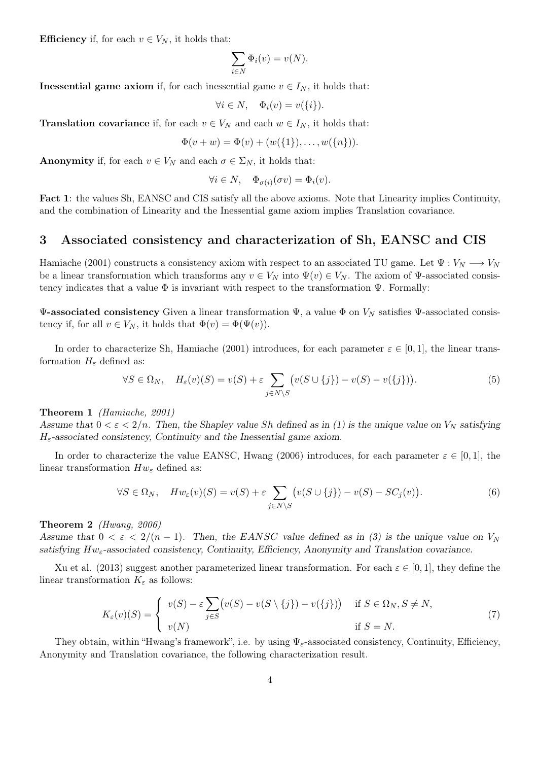Efficiency if, for each  $v \in V_N$ , it holds that:

$$
\sum_{i \in N} \Phi_i(v) = v(N).
$$

**Inessential game axiom** if, for each inessential game  $v \in I_N$ , it holds that:

$$
\forall i \in N, \quad \Phi_i(v) = v(\{i\}).
$$

**Translation covariance** if, for each  $v \in V_N$  and each  $w \in I_N$ , it holds that:

$$
\Phi(v+w) = \Phi(v) + (w({1}), \ldots, w({n})).
$$

**Anonymity** if, for each  $v \in V_N$  and each  $\sigma \in \Sigma_N$ , it holds that:

$$
\forall i \in N, \quad \Phi_{\sigma(i)}(\sigma v) = \Phi_i(v).
$$

Fact 1: the values Sh, EANSC and CIS satisfy all the above axioms. Note that Linearity implies Continuity, and the combination of Linearity and the Inessential game axiom implies Translation covariance.

#### 3 Associated consistency and characterization of Sh, EANSC and CIS

Hamiache (2001) constructs a consistency axiom with respect to an associated TU game. Let  $\Psi: V_N \longrightarrow V_N$ be a linear transformation which transforms any  $v \in V_N$  into  $\Psi(v) \in V_N$ . The axiom of  $\Psi$ -associated consistency indicates that a value  $\Phi$  is invariant with respect to the transformation  $\Psi$ . Formally:

 $\Psi$ -associated consistency Given a linear transformation  $\Psi$ , a value Φ on  $V_N$  satisfies  $\Psi$ -associated consistency if, for all  $v \in V_N$ , it holds that  $\Phi(v) = \Phi(\Psi(v))$ .

In order to characterize Sh, Hamiache (2001) introduces, for each parameter  $\varepsilon \in [0,1]$ , the linear transformation  $H_{\varepsilon}$  defined as:

$$
\forall S \in \Omega_N, \quad H_{\varepsilon}(v)(S) = v(S) + \varepsilon \sum_{j \in N \setminus S} \left( v(S \cup \{j\}) - v(S) - v(\{j\}) \right). \tag{5}
$$

Theorem 1 (Hamiache, 2001)

Assume that  $0 < \varepsilon < 2/n$ . Then, the Shapley value Sh defined as in (1) is the unique value on  $V_N$  satisfying  $H_{\varepsilon}$ -associated consistency, Continuity and the Inessential game axiom.

In order to characterize the value EANSC, Hwang (2006) introduces, for each parameter  $\varepsilon \in [0,1]$ , the linear transformation  $Hw_{\varepsilon}$  defined as:

$$
\forall S \in \Omega_N, \quad Hw_{\varepsilon}(v)(S) = v(S) + \varepsilon \sum_{j \in N \setminus S} \left( v(S \cup \{j\}) - v(S) - SC_j(v) \right). \tag{6}
$$

Theorem 2 (Hwang, 2006)

Assume that  $0 < \varepsilon < 2/(n-1)$ . Then, the EANSC value defined as in (3) is the unique value on  $V_N$ satisfying  $Hw_{\varepsilon}$ -associated consistency, Continuity, Efficiency, Anonymity and Translation covariance.

Xu et al. (2013) suggest another parameterized linear transformation. For each  $\varepsilon \in [0,1]$ , they define the linear transformation  $K_{\varepsilon}$  as follows:

$$
K_{\varepsilon}(v)(S) = \begin{cases} v(S) - \varepsilon \sum_{j \in S} (v(S) - v(S \setminus \{j\}) - v(\{j\})) & \text{if } S \in \Omega_N, S \neq N, \\ v(N) & \text{if } S = N. \end{cases}
$$
(7)

They obtain, within "Hwang's framework", i.e. by using  $\Psi_{\varepsilon}$ -associated consistency, Continuity, Efficiency, Anonymity and Translation covariance, the following characterization result.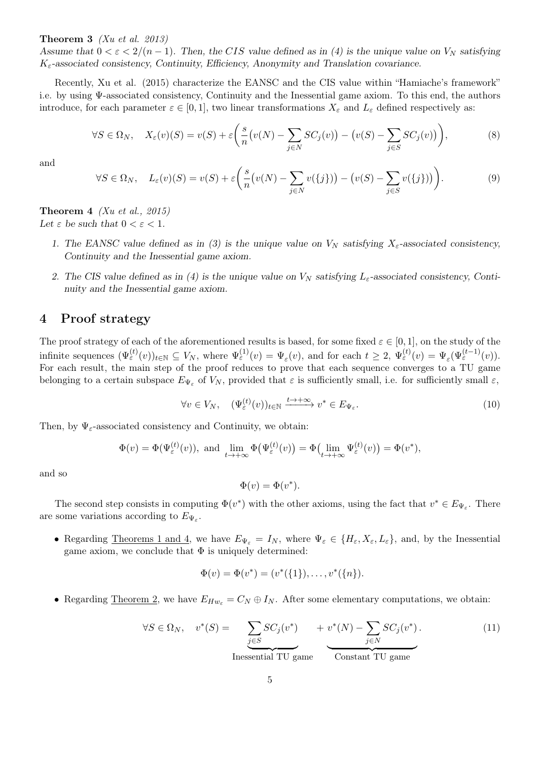#### **Theorem 3** (Xu et al. 2013)

Assume that  $0 < \varepsilon < 2/(n-1)$ . Then, the CIS value defined as in (4) is the unique value on  $V_N$  satisfying  $K_{\varepsilon}$ -associated consistency, Continuity, Efficiency, Anonymity and Translation covariance.

Recently, Xu et al. (2015) characterize the EANSC and the CIS value within "Hamiache's framework" i.e. by using Ψ-associated consistency, Continuity and the Inessential game axiom. To this end, the authors introduce, for each parameter  $\varepsilon \in [0,1]$ , two linear transformations  $X_{\varepsilon}$  and  $L_{\varepsilon}$  defined respectively as:

$$
\forall S \in \Omega_N, \quad X_{\varepsilon}(v)(S) = v(S) + \varepsilon \left( \frac{s}{n} \left( v(N) - \sum_{j \in N} SC_j(v) \right) - \left( v(S) - \sum_{j \in S} SC_j(v) \right) \right), \tag{8}
$$

and

$$
\forall S \in \Omega_N, \quad L_{\varepsilon}(v)(S) = v(S) + \varepsilon \bigg( \frac{s}{n} \big( v(N) - \sum_{j \in N} v(\{j\}) \big) - \big( v(S) - \sum_{j \in S} v(\{j\}) \big) \bigg). \tag{9}
$$

**Theorem 4** (Xu et al., 2015) Let  $\varepsilon$  be such that  $0 < \varepsilon < 1$ .

- 1. The EANSC value defined as in (3) is the unique value on  $V_N$  satisfying  $X_{\varepsilon}$ -associated consistency, Continuity and the Inessential game axiom.
- 2. The CIS value defined as in (4) is the unique value on  $V_N$  satisfying  $L_{\varepsilon}$ -associated consistency, Continuity and the Inessential game axiom.

#### 4 Proof strategy

The proof strategy of each of the aforementioned results is based, for some fixed  $\varepsilon \in [0,1]$ , on the study of the infinite sequences  $(\Psi_{\varepsilon}^{(t)}(v))_{t\in\mathbb{N}}\subseteq V_N$ , where  $\Psi_{\varepsilon}^{(1)}(v)=\Psi_{\varepsilon}(v)$ , and for each  $t\geq 2$ ,  $\Psi_{\varepsilon}^{(t)}(v)=\Psi_{\varepsilon}(\Psi_{\varepsilon}^{(t-1)}(v))$ . For each result, the main step of the proof reduces to prove that each sequence converges to a TU game belonging to a certain subspace  $E_{\Psi_{\varepsilon}}$  of  $V_N$ , provided that  $\varepsilon$  is sufficiently small, i.e. for sufficiently small  $\varepsilon$ ,

$$
\forall v \in V_N, \quad (\Psi_{\varepsilon}^{(t)}(v))_{t \in \mathbb{N}} \xrightarrow{t \to +\infty} v^* \in E_{\Psi_{\varepsilon}}.\tag{10}
$$

Then, by  $\Psi_{\varepsilon}$ -associated consistency and Continuity, we obtain:

$$
\Phi(v) = \Phi(\Psi_{\varepsilon}^{(t)}(v)), \text{ and } \lim_{t \to +\infty} \Phi(\Psi_{\varepsilon}^{(t)}(v)) = \Phi(\lim_{t \to +\infty} \Psi_{\varepsilon}^{(t)}(v)) = \Phi(v^*),
$$

and so

$$
\Phi(v) = \Phi(v^*).
$$

The second step consists in computing  $\Phi(v^*)$  with the other axioms, using the fact that  $v^* \in E_{\Psi_{\varepsilon}}$ . There are some variations according to  $E_{\Psi_{\varepsilon}}$ .

• Regarding Theorems 1 and 4, we have  $E_{\Psi_{\varepsilon}} = I_N$ , where  $\Psi_{\varepsilon} \in \{H_{\varepsilon}, X_{\varepsilon}, L_{\varepsilon}\}\)$ , and, by the Inessential game axiom, we conclude that  $\Phi$  is uniquely determined:

$$
\Phi(v) = \Phi(v^*) = (v^*(\{1\}), \ldots, v^*(\{n\}).
$$

• Regarding Theorem 2, we have  $E_{Hw_{\varepsilon}} = C_N \oplus I_N$ . After some elementary computations, we obtain:

$$
\forall S \in \Omega_N, \quad v^*(S) = \underbrace{\sum_{j \in S} SC_j(v^*)}_{\text{Inessential TU game}} + v^*(N) - \sum_{j \in N} SC_j(v^*).
$$
\n(11)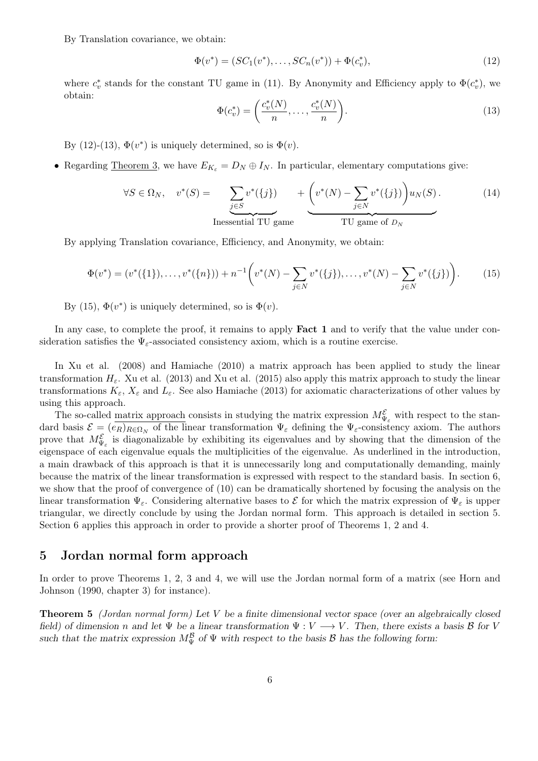By Translation covariance, we obtain:

$$
\Phi(v^*) = (SC_1(v^*), \dots, SC_n(v^*)) + \Phi(c_v^*),\tag{12}
$$

where  $c_v^*$  stands for the constant TU game in (11). By Anonymity and Efficiency apply to  $\Phi(c_v^*)$ , we obtain:

$$
\Phi(c_v^*) = \left(\frac{c_v^*(N)}{n}, \dots, \frac{c_v^*(N)}{n}\right). \tag{13}
$$

By (12)-(13),  $\Phi(v^*)$  is uniquely determined, so is  $\Phi(v)$ .

• Regarding <u>Theorem 3</u>, we have  $E_{K_{\varepsilon}} = D_N \oplus I_N$ . In particular, elementary computations give:

$$
\forall S \in \Omega_N, \quad v^*(S) = \sum_{\substack{j \in S \\ \text{Inessential TU game}}} v^*(\{j\}) + \left(v^*(N) - \sum_{j \in N} v^*(\{j\})\right) u_N(S). \tag{14}
$$

By applying Translation covariance, Efficiency, and Anonymity, we obtain:

$$
\Phi(v^*) = (v^*(\{1\}), \dots, v^*(\{n\})) + n^{-1} \bigg( v^*(N) - \sum_{j \in N} v^*(\{j\}), \dots, v^*(N) - \sum_{j \in N} v^*(\{j\}) \bigg). \tag{15}
$$

By (15),  $\Phi(v^*)$  is uniquely determined, so is  $\Phi(v)$ .

In any case, to complete the proof, it remains to apply **Fact 1** and to verify that the value under consideration satisfies the  $\Psi_{\varepsilon}$ -associated consistency axiom, which is a routine exercise.

In Xu et al. (2008) and Hamiache (2010) a matrix approach has been applied to study the linear transformation  $H_{\varepsilon}$ . Xu et al. (2013) and Xu et al. (2015) also apply this matrix approach to study the linear transformations  $K_{\varepsilon}$ ,  $X_{\varepsilon}$  and  $L_{\varepsilon}$ . See also Hamiache (2013) for axiomatic characterizations of other values by using this approach.

The so-called <u>matrix approach</u> consists in studying the matrix expression  $M_{\Psi_{\varepsilon}}^{\varepsilon}$  with respect to the standard basis  $\mathcal{E} = (e_R)_{R \in \Omega_N}$  of the linear transformation  $\Psi_{\varepsilon}$  defining the  $\Psi_{\varepsilon}$ -consistency axiom. The authors prove that  $M_{\Psi_{\varepsilon}}^{\varepsilon}$  is diagonalizable by exhibiting its eigenvalues and by showing that the dimension of the eigenspace of each eigenvalue equals the multiplicities of the eigenvalue. As underlined in the introduction, a main drawback of this approach is that it is unnecessarily long and computationally demanding, mainly because the matrix of the linear transformation is expressed with respect to the standard basis. In section 6, we show that the proof of convergence of (10) can be dramatically shortened by focusing the analysis on the linear transformation  $\Psi_{\varepsilon}$ . Considering alternative bases to  $\mathcal{E}$  for which the matrix expression of  $\Psi_{\varepsilon}$  is upper triangular, we directly conclude by using the Jordan normal form. This approach is detailed in section 5. Section 6 applies this approach in order to provide a shorter proof of Theorems 1, 2 and 4.

#### 5 Jordan normal form approach

In order to prove Theorems 1, 2, 3 and 4, we will use the Jordan normal form of a matrix (see Horn and Johnson (1990, chapter 3) for instance).

Theorem 5 (Jordan normal form) Let V be a finite dimensional vector space (over an algebraically closed field) of dimension n and let  $\Psi$  be a linear transformation  $\Psi: V \longrightarrow V$ . Then, there exists a basis  $\mathcal B$  for V such that the matrix expression  $M_{\Psi}^{\mathcal{B}}$  of  $\Psi$  with respect to the basis  $\mathcal{B}$  has the following form: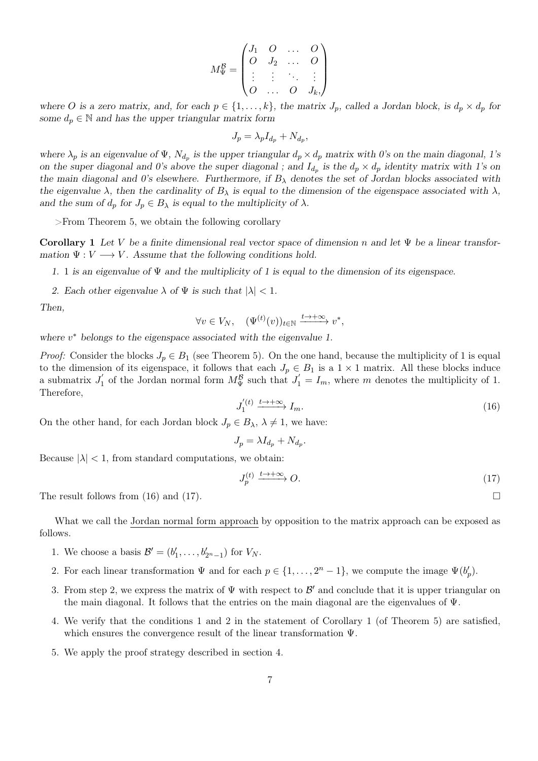$$
M_{\Psi}^{\mathcal{B}} = \begin{pmatrix} J_1 & O & \dots & O \\ O & J_2 & \dots & O \\ \vdots & \vdots & \ddots & \vdots \\ O & \dots & O & J_k \end{pmatrix}
$$

where O is a zero matrix, and, for each  $p \in \{1, \ldots, k\}$ , the matrix  $J_p$ , called a Jordan block, is  $d_p \times d_p$  for some  $d_p \in \mathbb{N}$  and has the upper triangular matrix form

$$
J_p = \lambda_p I_{d_p} + N_{d_p},
$$

where  $\lambda_p$  is an eigenvalue of  $\Psi$ ,  $N_{d_p}$  is the upper triangular  $d_p \times d_p$  matrix with 0's on the main diagonal, 1's on the super diagonal and 0's above the super diagonal ; and  $I_{d_p}$  is the  $d_p \times d_p$  identity matrix with 1's on the main diagonal and 0's elsewhere. Furthermore, if  $B_\lambda$  denotes the set of Jordan blocks associated with the eigenvalue  $\lambda$ , then the cardinality of  $B_\lambda$  is equal to the dimension of the eigenspace associated with  $\lambda$ , and the sum of  $d_p$  for  $J_p \in B_\lambda$  is equal to the multiplicity of  $\lambda$ .

>From Theorem 5, we obtain the following corollary

Corollary 1 Let V be a finite dimensional real vector space of dimension n and let  $\Psi$  be a linear transformation  $\Psi: V \longrightarrow V$ . Assume that the following conditions hold.

1. 1 is an eigenvalue of  $\Psi$  and the multiplicity of 1 is equal to the dimension of its eigenspace.

2. Each other eigenvalue  $\lambda$  of  $\Psi$  is such that  $|\lambda| < 1$ .

Then,

$$
\forall v \in V_N, \quad (\Psi^{(t)}(v))_{t \in \mathbb{N}} \xrightarrow{t \to +\infty} v^*,
$$

where  $v^*$  belongs to the eigenspace associated with the eigenvalue 1.

*Proof:* Consider the blocks  $J_p \in B_1$  (see Theorem 5). On the one hand, because the multiplicity of 1 is equal to the dimension of its eigenspace, it follows that each  $J_p \in B_1$  is a  $1 \times 1$  matrix. All these blocks induce a submatrix  $J'_1$  of the Jordan normal form  $M_{\Psi}^{\mathcal{B}}$  such that  $J'_1 = I_m$ , where m denotes the multiplicity of 1. Therefore,

$$
J_1^{(t)} \xrightarrow{t \to +\infty} I_m. \tag{16}
$$

On the other hand, for each Jordan block  $J_p \in B_\lambda$ ,  $\lambda \neq 1$ , we have:

$$
J_p = \lambda I_{d_p} + N_{d_p}.
$$

Because  $|\lambda|$  < 1, from standard computations, we obtain:

$$
J_p^{(t)} \xrightarrow{t \to +\infty} O. \tag{17}
$$

The result follows from (16) and (17).

What we call the Jordan normal form approach by opposition to the matrix approach can be exposed as follows.

- 1. We choose a basis  $\mathcal{B}' = (b'_1, ..., b'_{2^{n}-1})$  for  $V_N$ .
- 2. For each linear transformation  $\Psi$  and for each  $p \in \{1, \ldots, 2^n 1\}$ , we compute the image  $\Psi(b'_p)$ .
- 3. From step 2, we express the matrix of  $\Psi$  with respect to  $\mathcal{B}'$  and conclude that it is upper triangular on the main diagonal. It follows that the entries on the main diagonal are the eigenvalues of  $\Psi$ .
- 4. We verify that the conditions 1 and 2 in the statement of Corollary 1 (of Theorem 5) are satisfied, which ensures the convergence result of the linear transformation Ψ.
- 5. We apply the proof strategy described in section 4.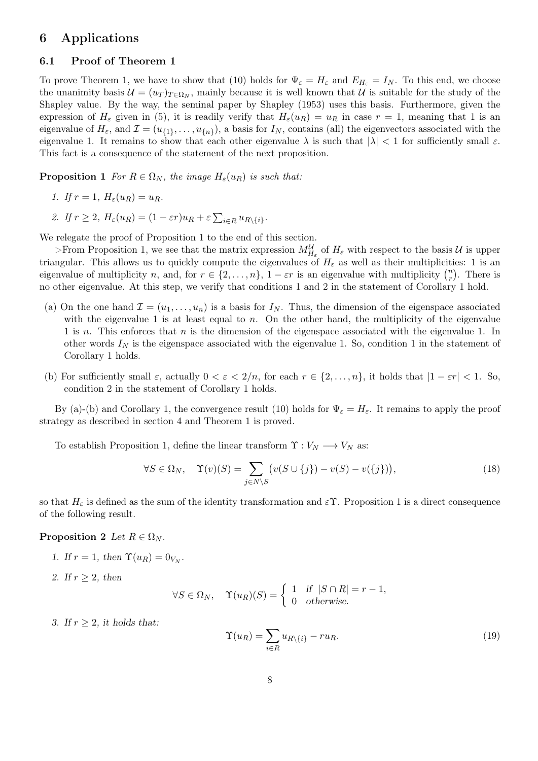#### 6 Applications

#### 6.1 Proof of Theorem 1

To prove Theorem 1, we have to show that (10) holds for  $\Psi_{\varepsilon} = H_{\varepsilon}$  and  $E_{H_{\varepsilon}} = I_N$ . To this end, we choose the unanimity basis  $\mathcal{U} = (u_T)_{T \in \Omega_N}$ , mainly because it is well known that  $\mathcal{U}$  is suitable for the study of the Shapley value. By the way, the seminal paper by Shapley (1953) uses this basis. Furthermore, given the expression of  $H_{\varepsilon}$  given in (5), it is readily verify that  $H_{\varepsilon}(u_R) = u_R$  in case  $r = 1$ , meaning that 1 is an eigenvalue of  $H_{\varepsilon}$ , and  $\mathcal{I} = (u_{\{1\}}, \ldots, u_{\{n\}})$ , a basis for  $I_N$ , contains (all) the eigenvectors associated with the eigenvalue 1. It remains to show that each other eigenvalue  $\lambda$  is such that  $|\lambda| < 1$  for sufficiently small  $\varepsilon$ . This fact is a consequence of the statement of the next proposition.

**Proposition 1** For  $R \in \Omega_N$ , the image  $H_\varepsilon(u_R)$  is such that:

1. If 
$$
r = 1
$$
,  $H_{\varepsilon}(u_R) = u_R$ .

2. If  $r \geq 2$ ,  $H_{\varepsilon}(u_R) = (1 - \varepsilon r)u_R + \varepsilon \sum_{i \in R} u_{R \setminus \{i\}}.$ 

We relegate the proof of Proposition 1 to the end of this section.

 $>$ From Proposition 1, we see that the matrix expression  $M_{H_{\varepsilon}}^{\mathcal{U}}$  of  $H_{\varepsilon}$  with respect to the basis  $\mathcal{U}$  is upper triangular. This allows us to quickly compute the eigenvalues of  $H_{\varepsilon}$  as well as their multiplicities: 1 is an eigenvalue of multiplicity n, and, for  $r \in \{2, \ldots, n\}$ ,  $1 - \varepsilon r$  is an eigenvalue with multiplicity  $\binom{n}{r}$  $\binom{n}{r}$ . There is no other eigenvalue. At this step, we verify that conditions 1 and 2 in the statement of Corollary 1 hold.

- (a) On the one hand  $\mathcal{I} = (u_1, \ldots, u_n)$  is a basis for  $I_N$ . Thus, the dimension of the eigenspace associated with the eigenvalue 1 is at least equal to n. On the other hand, the multiplicity of the eigenvalue 1 is n. This enforces that n is the dimension of the eigenspace associated with the eigenvalue 1. In other words  $I_N$  is the eigenspace associated with the eigenvalue 1. So, condition 1 in the statement of Corollary 1 holds.
- (b) For sufficiently small  $\varepsilon$ , actually  $0 < \varepsilon < 2/n$ , for each  $r \in \{2, \ldots, n\}$ , it holds that  $|1 \varepsilon r| < 1$ . So, condition 2 in the statement of Corollary 1 holds.

By (a)-(b) and Corollary 1, the convergence result (10) holds for  $\Psi_{\varepsilon} = H_{\varepsilon}$ . It remains to apply the proof strategy as described in section 4 and Theorem 1 is proved.

To establish Proposition 1, define the linear transform  $\Upsilon : V_N \longrightarrow V_N$  as:

$$
\forall S \in \Omega_N, \quad \Upsilon(v)(S) = \sum_{j \in N \setminus S} \big( v(S \cup \{j\}) - v(S) - v(\{j\}) \big), \tag{18}
$$

so that  $H_{\varepsilon}$  is defined as the sum of the identity transformation and  $\varepsilon \Upsilon$ . Proposition 1 is a direct consequence of the following result.

#### **Proposition 2** Let  $R \in \Omega_N$ .

- 1. If  $r = 1$ , then  $\Upsilon(u_R) = 0_{V_N}$ .
- 2. If  $r \geq 2$ , then

$$
\forall S \in \Omega_N, \quad \Upsilon(u_R)(S) = \begin{cases} 1 & \text{if } |S \cap R| = r - 1, \\ 0 & \text{otherwise.} \end{cases}
$$

3. If  $r > 2$ , it holds that:

$$
\Upsilon(u_R) = \sum_{i \in R} u_{R \setminus \{i\}} - ru_R. \tag{19}
$$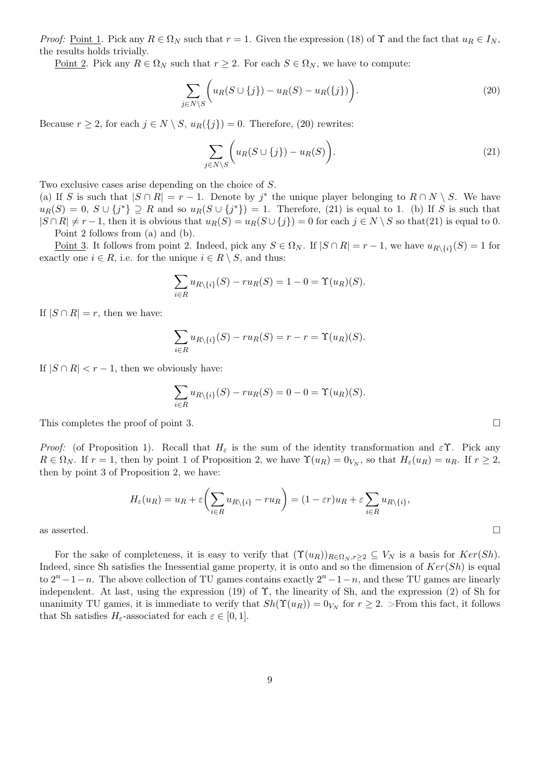Proof: Point 1. Pick any  $R \in \Omega_N$  such that  $r = 1$ . Given the expression (18) of  $\Upsilon$  and the fact that  $u_R \in I_N$ , the results holds trivially.

<u>Point 2</u>. Pick any  $R \in \Omega_N$  such that  $r \geq 2$ . For each  $S \in \Omega_N$ , we have to compute:

$$
\sum_{j \in N \setminus S} \Biggl( u_R(S \cup \{j\}) - u_R(S) - u_R(\{j\}) \Biggr). \tag{20}
$$

Because  $r \geq 2$ , for each  $j \in N \setminus S$ ,  $u_R(\{j\}) = 0$ . Therefore, (20) rewrites:

$$
\sum_{j \in N \setminus S} \bigg( u_R(S \cup \{j\}) - u_R(S) \bigg). \tag{21}
$$

Two exclusive cases arise depending on the choice of S.

(a) If S is such that  $|S \cap R| = r - 1$ . Denote by j<sup>\*</sup> the unique player belonging to  $R \cap N \setminus S$ . We have  $u_R(S) = 0, S \cup \{j^*\} \supseteq R$  and so  $u_R(S \cup \{j^*\}) = 1$ . Therefore, (21) is equal to 1. (b) If S is such that  $|S \cap R| \neq r-1$ , then it is obvious that  $u_R(S) = u_R(S \cup \{j\}) = 0$  for each  $j \in N \setminus S$  so that(21) is equal to 0. Point 2 follows from (a) and (b).

Point 3. It follows from point 2. Indeed, pick any  $S \in \Omega_N$ . If  $|S \cap R| = r - 1$ , we have  $u_{R \setminus \{i\}}(S) = 1$  for exactly one  $i \in R$ , i.e. for the unique  $i \in R \setminus S$ , and thus:

$$
\sum_{i \in R} u_{R \setminus \{i\}}(S) - ru_R(S) = 1 - 0 = \Upsilon(u_R)(S).
$$

If  $|S \cap R| = r$ , then we have:

$$
\sum_{i\in R} u_{R\setminus\{i\}}(S) - ru_R(S) = r - r = \Upsilon(u_R)(S).
$$

If  $|S \cap R| < r - 1$ , then we obviously have:

$$
\sum_{i \in R} u_{R \setminus \{i\}}(S) - ru_R(S) = 0 - 0 = \Upsilon(u_R)(S).
$$

This completes the proof of point 3.

Proof: (of Proposition 1). Recall that  $H_{\varepsilon}$  is the sum of the identity transformation and  $\varepsilon \Upsilon$ . Pick any  $R \in \Omega_N$ . If  $r = 1$ , then by point 1 of Proposition 2, we have  $\Upsilon(u_R) = 0_{V_N}$ , so that  $H_\varepsilon(u_R) = u_R$ . If  $r \ge 2$ , then by point 3 of Proposition 2, we have:

$$
H_{\varepsilon}(u_R) = u_R + \varepsilon \left(\sum_{i \in R} u_{R \setminus \{i\}} - ru_R\right) = (1 - \varepsilon r)u_R + \varepsilon \sum_{i \in R} u_{R \setminus \{i\}},
$$
  
as asserted.

For the sake of completeness, it is easy to verify that  $(\Upsilon(u_R))_{R \in \Omega_N, r \geq 2} \subseteq V_N$  is a basis for  $Ker(Sh)$ . Indeed, since Sh satisfies the Inessential game property, it is onto and so the dimension of  $Ker(Sh)$  is equal to  $2^{n} - 1 - n$ . The above collection of TU games contains exactly  $2^{n} - 1 - n$ , and these TU games are linearly independent. At last, using the expression (19) of  $\Upsilon$ , the linearity of Sh, and the expression (2) of Sh for unanimity TU games, it is immediate to verify that  $Sh(\Upsilon(u_R)) = 0_{V_N}$  for  $r \geq 2$ . >From this fact, it follows that Sh satisfies  $H_{\varepsilon}$ -associated for each  $\varepsilon \in [0,1]$ .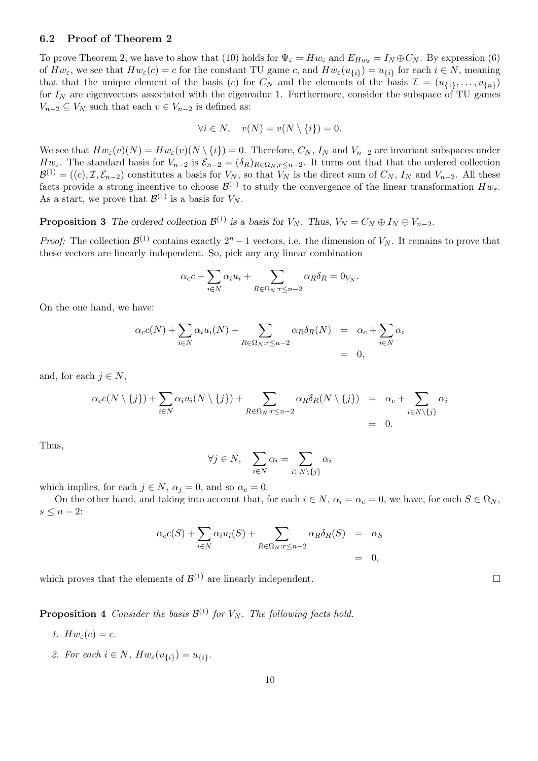#### 6.2 Proof of Theorem 2

To prove Theorem 2, we have to show that (10) holds for  $\Psi_{\varepsilon} = Hw_{\varepsilon}$  and  $E_{Hw_{\varepsilon}} = I_N \oplus C_N$ . By expression (6) of  $Hw_{\varepsilon}$ , we see that  $Hw_{\varepsilon}(c) = c$  for the constant TU game c, and  $Hw_{\varepsilon}(u_{\{i\}}) = u_{\{i\}}$  for each  $i \in N$ , meaning that that the unique element of the basis (c) for  $C_N$  and the elements of the basis  $\mathcal{I} = (u_{\{1\}}, \ldots, u_{\{n\}})$ for  $I<sub>N</sub>$  are eigenvectors associated with the eigenvalue 1. Furthermore, consider the subspace of TU games  $V_{n-2} \subseteq V_N$  such that each  $v \in V_{n-2}$  is defined as:

$$
\forall i \in N, \quad v(N) = v(N \setminus \{i\}) = 0.
$$

We see that  $Hw_{\varepsilon}(v)(N) = Hw_{\varepsilon}(v)(N \setminus \{i\}) = 0$ . Therefore,  $C_N$ ,  $I_N$  and  $V_{n-2}$  are invariant subspaces under  $Hw_{\varepsilon}$ . The standard basis for  $V_{n-2}$  is  $\mathcal{E}_{n-2} = (\delta_R)_{R \in \Omega_N, r \leq n-2}$ . It turns out that that the ordered collection  $\mathcal{B}^{(1)} = ((c), \mathcal{I}, \mathcal{E}_{n-2})$  constitutes a basis for  $V_N$ , so that  $V_N$  is the direct sum of  $C_N$ ,  $I_N$  and  $V_{n-2}$ . All these facts provide a strong incentive to choose  $\mathcal{B}^{(1)}$  to study the convergence of the linear transformation  $Hw_{\varepsilon}$ . As a start, we prove that  $\mathcal{B}^{(1)}$  is a basis for  $V_N$ .

**Proposition 3** The ordered collection  $\mathcal{B}^{(1)}$  is a basis for  $V_N$ . Thus,  $V_N = C_N \oplus I_N \oplus V_{n-2}$ .

*Proof:* The collection  $\mathcal{B}^{(1)}$  contains exactly  $2^n - 1$  vectors, i.e. the dimension of  $V_N$ . It remains to prove that these vectors are linearly independent. So, pick any any linear combination

$$
\alpha_c c + \sum_{i \in N} \alpha_i u_i + \sum_{R \in \Omega_N : r \le n-2} \alpha_R \delta_R = 0_{V_N}.
$$

On the one hand, we have:

$$
\alpha_c c(N) + \sum_{i \in N} \alpha_i u_i(N) + \sum_{R \in \Omega_N : r \le n-2} \alpha_R \delta_R(N) = \alpha_c + \sum_{i \in N} \alpha_i
$$
  
= 0,

and, for each  $j \in N$ ,

$$
\alpha_c c(N \setminus \{j\}) + \sum_{i \in N} \alpha_i u_i(N \setminus \{j\}) + \sum_{R \in \Omega_N : r \le n-2} \alpha_R \delta_R(N \setminus \{j\}) = \alpha_c + \sum_{i \in N \setminus \{j\}} \alpha_i
$$
  
= 0.

Thus,

$$
\forall j \in N, \quad \sum_{i \in N} \alpha_i = \sum_{i \in N \setminus \{j\}} \alpha_i
$$

which implies, for each  $j \in N$ ,  $\alpha_j = 0$ , and so  $\alpha_c = 0$ .

On the other hand, and taking into account that, for each  $i \in N$ ,  $\alpha_i = \alpha_c = 0$ , we have, for each  $S \in \Omega_N$ ,  $s \leq n-2$ :

$$
\alpha_c c(S) + \sum_{i \in N} \alpha_i u_i(S) + \sum_{R \in \Omega_N : r \le n-2} \alpha_R \delta_R(S) = \alpha_S
$$
  
= 0,

which proves that the elements of  $\mathcal{B}^{(1)}$  are linearly independent.

**Proposition 4** Consider the basis  $\mathcal{B}^{(1)}$  for  $V_N$ . The following facts hold.

- 1.  $Hw_{\varepsilon}(c) = c$ .
- 2. For each  $i \in N$ ,  $Hw_{\varepsilon}(u_{\{i\}}) = u_{\{i\}}$ .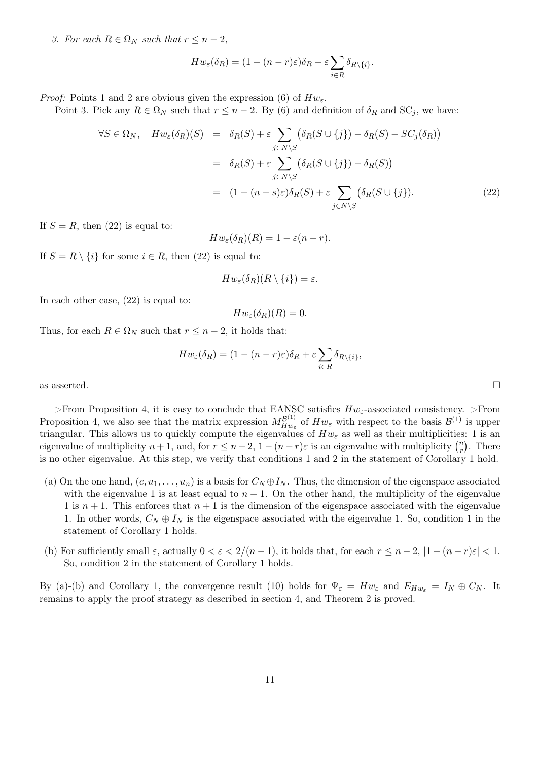3. For each  $R \in \Omega_N$  such that  $r \leq n-2$ ,

$$
Hw_{\varepsilon}(\delta_R) = (1 - (n - r)\varepsilon)\delta_R + \varepsilon \sum_{i \in R} \delta_{R \setminus \{i\}}.
$$

*Proof:* Points 1 and 2 are obvious given the expression (6) of  $Hw_{\varepsilon}$ .

Point 3. Pick any  $R \in \Omega_N$  such that  $r \leq n-2$ . By (6) and definition of  $\delta_R$  and  $SC_j$ , we have:

$$
\forall S \in \Omega_N, \quad Hw_{\varepsilon}(\delta_R)(S) = \delta_R(S) + \varepsilon \sum_{j \in N \setminus S} (\delta_R(S \cup \{j\}) - \delta_R(S) - SC_j(\delta_R))
$$
  

$$
= \delta_R(S) + \varepsilon \sum_{j \in N \setminus S} (\delta_R(S \cup \{j\}) - \delta_R(S))
$$
  

$$
= (1 - (n - s)\varepsilon)\delta_R(S) + \varepsilon \sum_{j \in N \setminus S} (\delta_R(S \cup \{j\}). \tag{22}
$$

If  $S = R$ , then (22) is equal to:

$$
Hw_{\varepsilon}(\delta_R)(R) = 1 - \varepsilon(n-r).
$$

If  $S = R \setminus \{i\}$  for some  $i \in R$ , then (22) is equal to:

$$
Hw_{\varepsilon}(\delta_R)(R\setminus\{i\})=\varepsilon
$$

In each other case, (22) is equal to:

$$
Hw_{\varepsilon}(\delta_R)(R)=0.
$$

Thus, for each  $R \in \Omega_N$  such that  $r \leq n-2$ , it holds that:

$$
Hw_{\varepsilon}(\delta_R) = (1 - (n - r)\varepsilon)\delta_R + \varepsilon \sum_{i \in R} \delta_{R \setminus \{i\}},
$$

as asserted.

>From Proposition 4, it is easy to conclude that EANSC satisfies  $Hw_{\varepsilon}$ -associated consistency. >From Proposition 4, we also see that the matrix expression  $M_{Hu}^{\mathcal{B}^{(1)}}$  $H_{W_{\varepsilon}}^{B^{(1)}}$  of  $H_{W_{\varepsilon}}$  with respect to the basis  $\mathcal{B}^{(1)}$  is upper triangular. This allows us to quickly compute the eigenvalues of  $Hw_{\varepsilon}$  as well as their multiplicities: 1 is an eigenvalue of multiplicity  $n + 1$ , and, for  $r \leq n - 2$ ,  $1 - (n - r)\varepsilon$  is an eigenvalue with multiplicity  $\binom{n}{r}$  $\binom{n}{r}$ . There is no other eigenvalue. At this step, we verify that conditions 1 and 2 in the statement of Corollary 1 hold.

- (a) On the one hand,  $(c, u_1, \ldots, u_n)$  is a basis for  $C_N \oplus I_N$ . Thus, the dimension of the eigenspace associated with the eigenvalue 1 is at least equal to  $n + 1$ . On the other hand, the multiplicity of the eigenvalue 1 is  $n + 1$ . This enforces that  $n + 1$  is the dimension of the eigenspace associated with the eigenvalue 1. In other words,  $C_N \oplus I_N$  is the eigenspace associated with the eigenvalue 1. So, condition 1 in the statement of Corollary 1 holds.
- (b) For sufficiently small  $\varepsilon$ , actually  $0 < \varepsilon < 2/(n-1)$ , it holds that, for each  $r \leq n-2$ ,  $|1-(n-r)\varepsilon| < 1$ . So, condition 2 in the statement of Corollary 1 holds.

By (a)-(b) and Corollary 1, the convergence result (10) holds for  $\Psi_{\varepsilon} = Hw_{\varepsilon}$  and  $E_{Hw_{\varepsilon}} = I_N \oplus C_N$ . It remains to apply the proof strategy as described in section 4, and Theorem 2 is proved.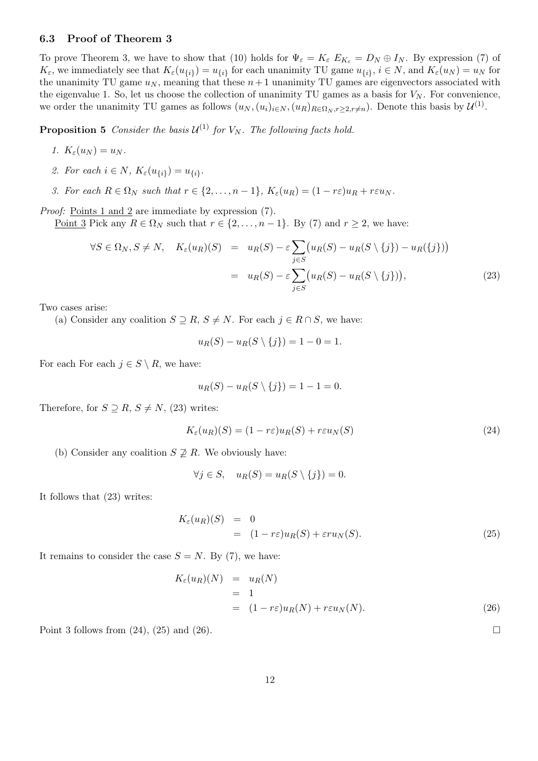#### 6.3 Proof of Theorem 3

To prove Theorem 3, we have to show that (10) holds for  $\Psi_{\varepsilon} = K_{\varepsilon} E_{K_{\varepsilon}} = D_N \oplus I_N$ . By expression (7) of  $K_{\varepsilon}$ , we immediately see that  $K_{\varepsilon}(u_{\{i\}}) = u_{\{i\}}$  for each unanimity TU game  $u_{\{i\}}$ ,  $i \in N$ , and  $K_{\varepsilon}(u_N) = u_N$  for the unanimity TU game  $u_N$ , meaning that these  $n+1$  unanimity TU games are eigenvectors associated with the eigenvalue 1. So, let us choose the collection of unanimity TU games as a basis for  $V_N$ . For convenience, we order the unanimity TU games as follows  $(u_N, (u_i)_{i\in N}, (u_R)_{R\in\Omega_N, r\geq 2, r\neq n})$ . Denote this basis by  $\mathcal{U}^{(1)}$ .

**Proposition 5** Consider the basis  $\mathcal{U}^{(1)}$  for  $V_N$ . The following facts hold.

- 1.  $K_{\varepsilon}(u_N) = u_N$ .
- 2. For each  $i \in N$ ,  $K_{\varepsilon}(u_{\{i\}}) = u_{\{i\}}$ .

3. For each  $R \in \Omega_N$  such that  $r \in \{2, \ldots, n-1\}$ ,  $K_{\varepsilon}(u_R) = (1 - r\varepsilon)u_R + r\varepsilon u_N$ .

Proof: Points 1 and 2 are immediate by expression  $(7)$ .

Point 3 Pick any  $R \in \Omega_N$  such that  $r \in \{2, \ldots, n-1\}$ . By (7) and  $r \geq 2$ , we have:

$$
\forall S \in \Omega_N, S \neq N, \quad K_{\varepsilon}(u_R)(S) = u_R(S) - \varepsilon \sum_{j \in S} \left( u_R(S) - u_R(S \setminus \{j\}) - u_R(\{j\}) \right)
$$

$$
= u_R(S) - \varepsilon \sum_{j \in S} \left( u_R(S) - u_R(S \setminus \{j\}) \right), \tag{23}
$$

Two cases arise:

(a) Consider any coalition  $S \supseteq R$ ,  $S \neq N$ . For each  $j \in R \cap S$ , we have:

$$
u_R(S) - u_R(S \setminus \{j\}) = 1 - 0 = 1.
$$

For each For each  $j \in S \setminus R$ , we have:

$$
u_R(S) - u_R(S \setminus \{j\}) = 1 - 1 = 0.
$$

Therefore, for  $S \supseteq R$ ,  $S \neq N$ , (23) writes:

$$
K_{\varepsilon}(u_R)(S) = (1 - r\varepsilon)u_R(S) + r\varepsilon u_N(S)
$$
\n(24)

(b) Consider any coalition  $S \not\supseteq R$ . We obviously have:

$$
\forall j \in S, \quad u_R(S) = u_R(S \setminus \{j\}) = 0.
$$

It follows that (23) writes:

$$
K_{\varepsilon}(u_R)(S) = 0
$$
  
=  $(1 - r\varepsilon)u_R(S) + \varepsilon ru_N(S).$  (25)

It remains to consider the case  $S = N$ . By (7), we have:

$$
K_{\varepsilon}(u_R)(N) = u_R(N)
$$
  
= 1  
= (1 - r\varepsilon)u\_R(N) + r\varepsilon u\_N(N). (26)

Point 3 follows from  $(24)$ ,  $(25)$  and  $(26)$ .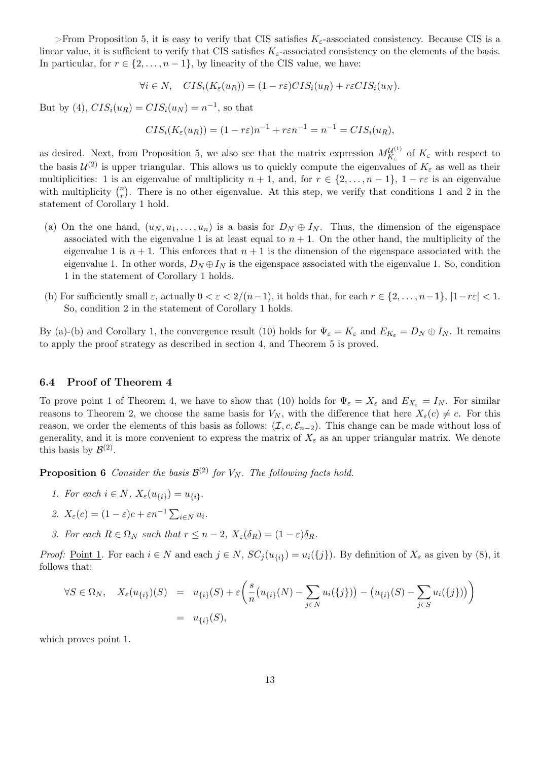>From Proposition 5, it is easy to verify that CIS satisfies  $K_{\varepsilon}$ -associated consistency. Because CIS is a linear value, it is sufficient to verify that CIS satisfies  $K_{\varepsilon}$ -associated consistency on the elements of the basis. In particular, for  $r \in \{2, \ldots, n-1\}$ , by linearity of the CIS value, we have:

$$
\forall i \in N, \quad CIS_i(K_{\varepsilon}(u_R)) = (1 - r\varepsilon)CIS_i(u_R) + r\varepsilon CIS_i(u_N).
$$

But by (4),  $CIS_i(u_R) = CIS_i(u_N) = n^{-1}$ , so that

$$
CIS_i(K_{\varepsilon}(u_R)) = (1 - r\varepsilon)n^{-1} + r\varepsilon n^{-1} = n^{-1} = CIS_i(u_R),
$$

as desired. Next, from Proposition 5, we also see that the matrix expression  $M_{K_c}^{\mathcal{U}^{(1)}}$  $\frac{W^{(1)}}{K_{\varepsilon}}$  of  $K_{\varepsilon}$  with respect to the basis  $\mathcal{U}^{(2)}$  is upper triangular. This allows us to quickly compute the eigenvalues of  $K_{\varepsilon}$  as well as their multiplicities: 1 is an eigenvalue of multiplicity  $n + 1$ , and, for  $r \in \{2, ..., n-1\}$ ,  $1 - r\varepsilon$  is an eigenvalue with multiplicity  $\binom{n}{r}$  $\binom{n}{r}$ . There is no other eigenvalue. At this step, we verify that conditions 1 and 2 in the statement of Corollary 1 hold.

- (a) On the one hand,  $(u_N, u_1, \ldots, u_n)$  is a basis for  $D_N \oplus I_N$ . Thus, the dimension of the eigenspace associated with the eigenvalue 1 is at least equal to  $n + 1$ . On the other hand, the multiplicity of the eigenvalue 1 is  $n + 1$ . This enforces that  $n + 1$  is the dimension of the eigenspace associated with the eigenvalue 1. In other words,  $D_N \oplus I_N$  is the eigenspace associated with the eigenvalue 1. So, condition 1 in the statement of Corollary 1 holds.
- (b) For sufficiently small  $\varepsilon$ , actually  $0 < \varepsilon < 2/(n-1)$ , it holds that, for each  $r \in \{2, \ldots, n-1\}, |1-r\varepsilon| < 1$ . So, condition 2 in the statement of Corollary 1 holds.

By (a)-(b) and Corollary 1, the convergence result (10) holds for  $\Psi_{\varepsilon} = K_{\varepsilon}$  and  $E_{K_{\varepsilon}} = D_N \oplus I_N$ . It remains to apply the proof strategy as described in section 4, and Theorem 5 is proved.

#### 6.4 Proof of Theorem 4

To prove point 1 of Theorem 4, we have to show that (10) holds for  $\Psi_{\varepsilon} = X_{\varepsilon}$  and  $E_{X_{\varepsilon}} = I_N$ . For similar reasons to Theorem 2, we choose the same basis for  $V_N$ , with the difference that here  $X_{\varepsilon}(c) \neq c$ . For this reason, we order the elements of this basis as follows:  $(\mathcal{I}, c, \mathcal{E}_{n-2})$ . This change can be made without loss of generality, and it is more convenient to express the matrix of  $X_{\varepsilon}$  as an upper triangular matrix. We denote this basis by  $\mathcal{B}^{(2)}$ .

**Proposition 6** Consider the basis  $\mathcal{B}^{(2)}$  for  $V_N$ . The following facts hold.

- 1. For each  $i \in N$ ,  $X_{\varepsilon}(u_{\{i\}}) = u_{\{i\}}$ .
- 2.  $X_{\varepsilon}(c) = (1 \varepsilon)c + \varepsilon n^{-1} \sum_{i \in N} u_i$ .
- 3. For each  $R \in \Omega_N$  such that  $r \leq n-2$ ,  $X_{\varepsilon}(\delta_R) = (1-\varepsilon)\delta_R$ .

*Proof:* <u>Point 1</u>. For each  $i \in N$  and each  $j \in N$ ,  $SC_j(u_{\{i\}}) = u_i(\{j\})$ . By definition of  $X_{\varepsilon}$  as given by (8), it follows that:

$$
\forall S \in \Omega_N, \quad X_{\varepsilon}(u_{\{i\}})(S) = u_{\{i\}}(S) + \varepsilon \left( \frac{s}{n} \left( u_{\{i\}}(N) - \sum_{j \in N} u_i(\{j\}) \right) - \left( u_{\{i\}}(S) - \sum_{j \in S} u_i(\{j\}) \right) \right)
$$
  
=  $u_{\{i\}}(S),$ 

which proves point 1.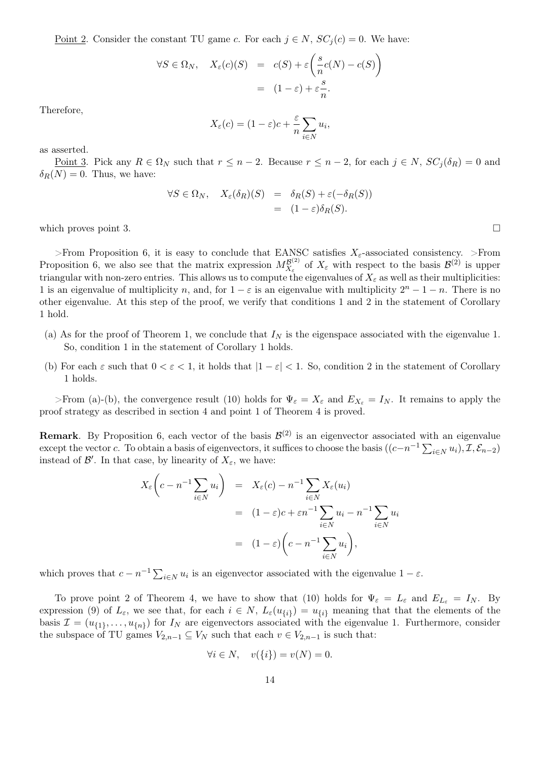<u>Point 2</u>. Consider the constant TU game c. For each  $j \in N$ ,  $SC<sub>j</sub>(c) = 0$ . We have:

$$
\forall S \in \Omega_N, \quad X_{\varepsilon}(c)(S) = c(S) + \varepsilon \left( \frac{s}{n} c(N) - c(S) \right)
$$

$$
= (1 - \varepsilon) + \varepsilon \frac{s}{n}.
$$

Therefore,

$$
X_{\varepsilon}(c) = (1 - \varepsilon)c + \frac{\varepsilon}{n} \sum_{i \in N} u_i,
$$

as asserted.

<u>Point 3</u>. Pick any  $R \in \Omega_N$  such that  $r \leq n-2$ . Because  $r \leq n-2$ , for each  $j \in N$ ,  $SC_j(\delta_R) = 0$  and  $\delta_R(N) = 0$ . Thus, we have:

$$
\forall S \in \Omega_N, \quad X_{\varepsilon}(\delta_R)(S) = \delta_R(S) + \varepsilon(-\delta_R(S))
$$
  
=  $(1 - \varepsilon)\delta_R(S).$ 

which proves point 3.  $\Box$ 

>From Proposition 6, it is easy to conclude that EANSC satisfies  $X_{\epsilon}$ -associated consistency. >From Proposition 6, we also see that the matrix expression  $M_{X_c}^{\mathcal{B}^{(2)}}$  $X_{\varepsilon}^{(\mathcal{B}^{(2)})}$  of  $X_{\varepsilon}$  with respect to the basis  $\mathcal{B}^{(2)}$  is upper triangular with non-zero entries. This allows us to compute the eigenvalues of  $X_\varepsilon$  as well as their multiplicities: 1 is an eigenvalue of multiplicity n, and, for  $1 - \varepsilon$  is an eigenvalue with multiplicity  $2^n - 1 - n$ . There is no other eigenvalue. At this step of the proof, we verify that conditions 1 and 2 in the statement of Corollary 1 hold.

- (a) As for the proof of Theorem 1, we conclude that  $I<sub>N</sub>$  is the eigenspace associated with the eigenvalue 1. So, condition 1 in the statement of Corollary 1 holds.
- (b) For each  $\varepsilon$  such that  $0 < \varepsilon < 1$ , it holds that  $|1-\varepsilon| < 1$ . So, condition 2 in the statement of Corollary 1 holds.

>From (a)-(b), the convergence result (10) holds for  $\Psi_{\varepsilon} = X_{\varepsilon}$  and  $E_{X_{\varepsilon}} = I_N$ . It remains to apply the proof strategy as described in section 4 and point 1 of Theorem 4 is proved.

**Remark**. By Proposition 6, each vector of the basis  $\mathcal{B}^{(2)}$  is an eigenvector associated with an eigenvalue except the vector c. To obtain a basis of eigenvectors, it suffices to choose the basis  $((c-n^{-1}\sum_{i\in N}u_i), \mathcal{I}, \mathcal{E}_{n-2})$ instead of  $\mathcal{B}'$ . In that case, by linearity of  $X_{\varepsilon}$ , we have:

$$
X_{\varepsilon}\left(c - n^{-1} \sum_{i \in N} u_i\right) = X_{\varepsilon}(c) - n^{-1} \sum_{i \in N} X_{\varepsilon}(u_i)
$$
  

$$
= (1 - \varepsilon)c + \varepsilon n^{-1} \sum_{i \in N} u_i - n^{-1} \sum_{i \in N} u_i
$$
  

$$
= (1 - \varepsilon) \left(c - n^{-1} \sum_{i \in N} u_i\right),
$$

which proves that  $c - n^{-1} \sum_{i \in N} u_i$  is an eigenvector associated with the eigenvalue  $1 - \varepsilon$ .

To prove point 2 of Theorem 4, we have to show that (10) holds for  $\Psi_{\varepsilon} = L_{\varepsilon}$  and  $E_{L_{\varepsilon}} = I_N$ . By expression (9) of  $L_{\varepsilon}$ , we see that, for each  $i \in N$ ,  $L_{\varepsilon}(u_{\{i\}}) = u_{\{i\}}$  meaning that that the elements of the basis  $\mathcal{I} = (u_{\{1\}}, \ldots, u_{\{n\}})$  for  $I_N$  are eigenvectors associated with the eigenvalue 1. Furthermore, consider the subspace of TU games  $V_{2,n-1} \subseteq V_N$  such that each  $v \in V_{2,n-1}$  is such that:

$$
\forall i \in N, \quad v(\{i\}) = v(N) = 0.
$$